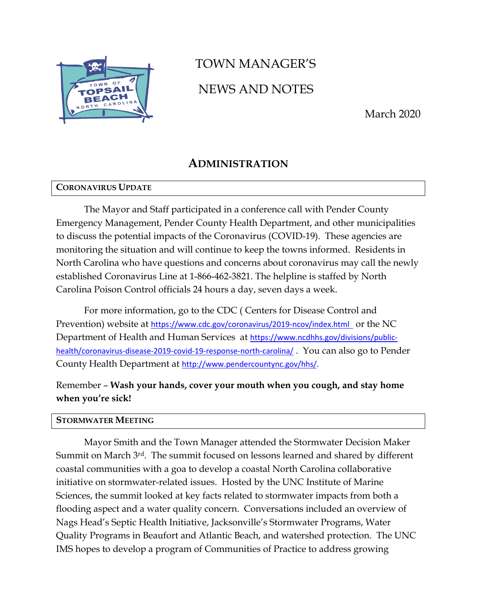

# TOWN MANAGER'S NEWS AND NOTES

March 2020

# **ADMINISTRATION**

# **CORONAVIRUS UPDATE**

The Mayor and Staff participated in a conference call with Pender County Emergency Management, Pender County Health Department, and other municipalities to discuss the potential impacts of the Coronavirus (COVID-19). These agencies are monitoring the situation and will continue to keep the towns informed. Residents in North Carolina who have questions and concerns about coronavirus may call the newly established Coronavirus Line at 1-866-462-3821. The helpline is staffed by North Carolina Poison Control officials 24 hours a day, seven days a week.

For more information, go to the CDC ( Centers for Disease Control and Prevention) website at <https://www.cdc.gov/coronavirus/2019-ncov/index.html>or the NC Department of Health and Human Services at [https://www.ncdhhs.gov/divisions/public](https://www.ncdhhs.gov/divisions/public-health/coronavirus-disease-2019-covid-19-response-north-carolina/)[health/coronavirus-disease-2019-covid-19-response-north-carolina/](https://www.ncdhhs.gov/divisions/public-health/coronavirus-disease-2019-covid-19-response-north-carolina/) . You can also go to Pender County Health Department at [http://www.pendercountync.gov/hhs/.](http://www.pendercountync.gov/hhs/)

# Remember – **Wash your hands, cover your mouth when you cough, and stay home when you're sick!**

## **STORMWATER MEETING**

Mayor Smith and the Town Manager attended the Stormwater Decision Maker Summit on March 3rd. The summit focused on lessons learned and shared by different coastal communities with a goa to develop a coastal North Carolina collaborative initiative on stormwater-related issues. Hosted by the UNC Institute of Marine Sciences, the summit looked at key facts related to stormwater impacts from both a flooding aspect and a water quality concern. Conversations included an overview of Nags Head's Septic Health Initiative, Jacksonville's Stormwater Programs, Water Quality Programs in Beaufort and Atlantic Beach, and watershed protection. The UNC IMS hopes to develop a program of Communities of Practice to address growing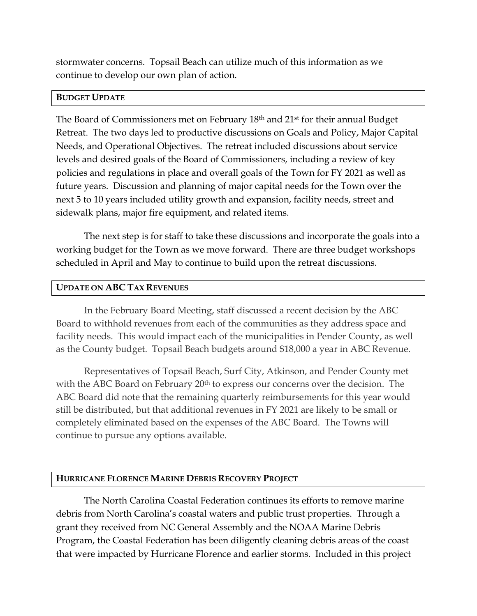stormwater concerns. Topsail Beach can utilize much of this information as we continue to develop our own plan of action.

## **BUDGET UPDATE**

The Board of Commissioners met on February 18th and 21st for their annual Budget Retreat. The two days led to productive discussions on Goals and Policy, Major Capital Needs, and Operational Objectives. The retreat included discussions about service levels and desired goals of the Board of Commissioners, including a review of key policies and regulations in place and overall goals of the Town for FY 2021 as well as future years. Discussion and planning of major capital needs for the Town over the next 5 to 10 years included utility growth and expansion, facility needs, street and sidewalk plans, major fire equipment, and related items.

The next step is for staff to take these discussions and incorporate the goals into a working budget for the Town as we move forward. There are three budget workshops scheduled in April and May to continue to build upon the retreat discussions.

## **UPDATE ON ABC TAX REVENUES**

In the February Board Meeting, staff discussed a recent decision by the ABC Board to withhold revenues from each of the communities as they address space and facility needs. This would impact each of the municipalities in Pender County, as well as the County budget. Topsail Beach budgets around \$18,000 a year in ABC Revenue.

Representatives of Topsail Beach, Surf City, Atkinson, and Pender County met with the ABC Board on February 20<sup>th</sup> to express our concerns over the decision. The ABC Board did note that the remaining quarterly reimbursements for this year would still be distributed, but that additional revenues in FY 2021 are likely to be small or completely eliminated based on the expenses of the ABC Board. The Towns will continue to pursue any options available.

# **HURRICANE FLORENCE MARINE DEBRIS RECOVERY PROJECT**

The North Carolina Coastal Federation continues its efforts to remove marine debris from North Carolina's coastal waters and public trust properties. Through a grant they received from NC General Assembly and the NOAA Marine Debris Program, the Coastal Federation has been diligently cleaning debris areas of the coast that were impacted by Hurricane Florence and earlier storms. Included in this project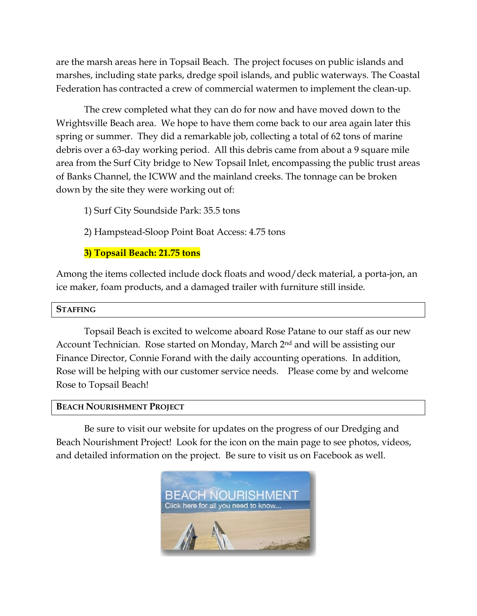are the marsh areas here in Topsail Beach. The project focuses on public islands and marshes, including state parks, dredge spoil islands, and public waterways. The Coastal Federation has contracted a crew of commercial watermen to implement the clean-up.

The crew completed what they can do for now and have moved down to the Wrightsville Beach area. We hope to have them come back to our area again later this spring or summer. They did a remarkable job, collecting a total of 62 tons of marine debris over a 63-day working period. All this debris came from about a 9 square mile area from the Surf City bridge to New Topsail Inlet, encompassing the public trust areas of Banks Channel, the ICWW and the mainland creeks. The tonnage can be broken down by the site they were working out of:

- 1) Surf City Soundside Park: 35.5 tons
- 2) Hampstead-Sloop Point Boat Access: 4.75 tons

**3) Topsail Beach: 21.75 tons**

Among the items collected include dock floats and wood/deck material, a porta-jon, an ice maker, foam products, and a damaged trailer with furniture still inside.

## **STAFFING**

Topsail Beach is excited to welcome aboard Rose Patane to our staff as our new Account Technician. Rose started on Monday, March 2<sup>nd</sup> and will be assisting our Finance Director, Connie Forand with the daily accounting operations. In addition, Rose will be helping with our customer service needs. Please come by and welcome Rose to Topsail Beach!

## **BEACH NOURISHMENT PROJECT**

Be sure to visit our website for updates on the progress of our Dredging and Beach Nourishment Project! Look for the icon on the main page to see photos, videos, and detailed information on the project. Be sure to visit us on Facebook as well.

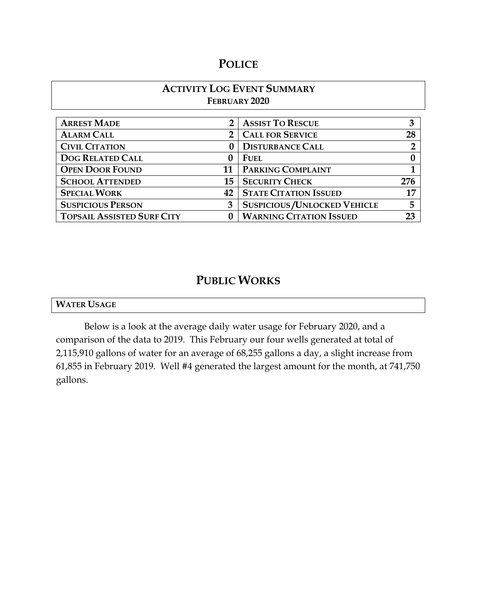# **POLICE**

# **ACTIVITY LOG EVENT SUMMARY FEBRUARY 2020**

| <b>ARREST MADE</b>                | 2 <sup>1</sup> | <b>ASSIST TO RESCUE</b>            | 3   |
|-----------------------------------|----------------|------------------------------------|-----|
| <b>ALARM CALL</b>                 |                | <b>CALL FOR SERVICE</b>            | 28  |
| <b>CIVIL CITATION</b>             |                | <b>DISTURBANCE CALL</b>            |     |
| <b>DOG RELATED CALL</b>           |                | <b>FUEL</b>                        |     |
| <b>OPEN DOOR FOUND</b>            | 11             | <b>PARKING COMPLAINT</b>           |     |
| <b>SCHOOL ATTENDED</b>            | 15             | <b>SECURITY CHECK</b>              | 276 |
| <b>SPECIAL WORK</b>               | 42             | <b>STATE CITATION ISSUED</b>       | 17  |
| <b>SUSPICIOUS PERSON</b>          | 3              | <b>SUSPICIOUS/UNLOCKED VEHICLE</b> | 5   |
| <b>TOPSAIL ASSISTED SURF CITY</b> |                | <b>WARNING CITATION ISSUED</b>     | 23  |

# **PUBLIC WORKS**

|--|

Below is a look at the average daily water usage for February 2020, and a comparison of the data to 2019. This February our four wells generated at total of 2,115,910 gallons of water for an average of 68,255 gallons a day, a slight increase from 61,855 in February 2019. Well #4 generated the largest amount for the month, at 741,750 gallons.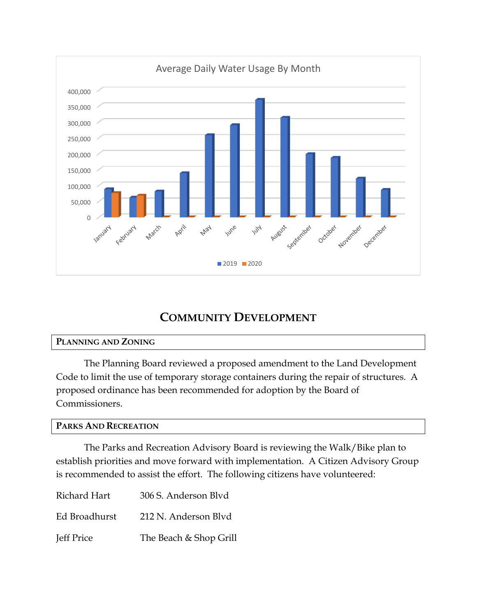

# **COMMUNITY DEVELOPMENT**

## **PLANNING AND ZONING**

The Planning Board reviewed a proposed amendment to the Land Development Code to limit the use of temporary storage containers during the repair of structures. A proposed ordinance has been recommended for adoption by the Board of Commissioners.

## **PARKS AND RECREATION**

The Parks and Recreation Advisory Board is reviewing the Walk/Bike plan to establish priorities and move forward with implementation. A Citizen Advisory Group is recommended to assist the effort. The following citizens have volunteered:

| Richard Hart  | 306 S. Anderson Blyd   |
|---------------|------------------------|
| Ed Broadhurst | 212 N. Anderson Blvd   |
| Jeff Price    | The Beach & Shop Grill |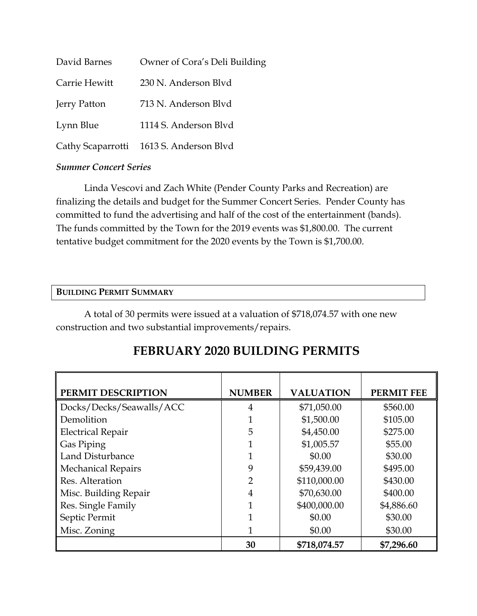| David Barnes  | Owner of Cora's Deli Building           |
|---------------|-----------------------------------------|
| Carrie Hewitt | 230 N. Anderson Blyd                    |
| Jerry Patton  | 713 N. Anderson Blvd                    |
| Lynn Blue     | 1114 S. Anderson Blvd                   |
|               | Cathy Scaparrotti 1613 S. Anderson Blvd |

# *Summer Concert Series*

Linda Vescovi and Zach White (Pender County Parks and Recreation) are finalizing the details and budget for the Summer Concert Series. Pender County has committed to fund the advertising and half of the cost of the entertainment (bands). The funds committed by the Town for the 2019 events was \$1,800.00. The current tentative budget commitment for the 2020 events by the Town is \$1,700.00.

## **BUILDING PERMIT SUMMARY**

A total of 30 permits were issued at a valuation of \$718,074.57 with one new construction and two substantial improvements/repairs.

| PERMIT DESCRIPTION        | <b>NUMBER</b> | <b>VALUATION</b> | <b>PERMIT FEE</b> |
|---------------------------|---------------|------------------|-------------------|
| Docks/Decks/Seawalls/ACC  | 4             | \$71,050.00      | \$560.00          |
| Demolition                |               | \$1,500.00       | \$105.00          |
| <b>Electrical Repair</b>  | 5             | \$4,450.00       | \$275.00          |
| Gas Piping                |               | \$1,005.57       | \$55.00           |
| Land Disturbance          |               | \$0.00           | \$30.00           |
| <b>Mechanical Repairs</b> | 9             | \$59,439.00      | \$495.00          |
| Res. Alteration           | 2             | \$110,000.00     | \$430.00          |
| Misc. Building Repair     | 4             | \$70,630.00      | \$400.00          |
| Res. Single Family        |               | \$400,000.00     | \$4,886.60        |
| Septic Permit             |               | \$0.00           | \$30.00           |
| Misc. Zoning              | 1             | \$0.00           | \$30.00           |
|                           | 30            | \$718,074.57     | \$7,296.60        |

# **FEBRUARY 2020 BUILDING PERMITS**